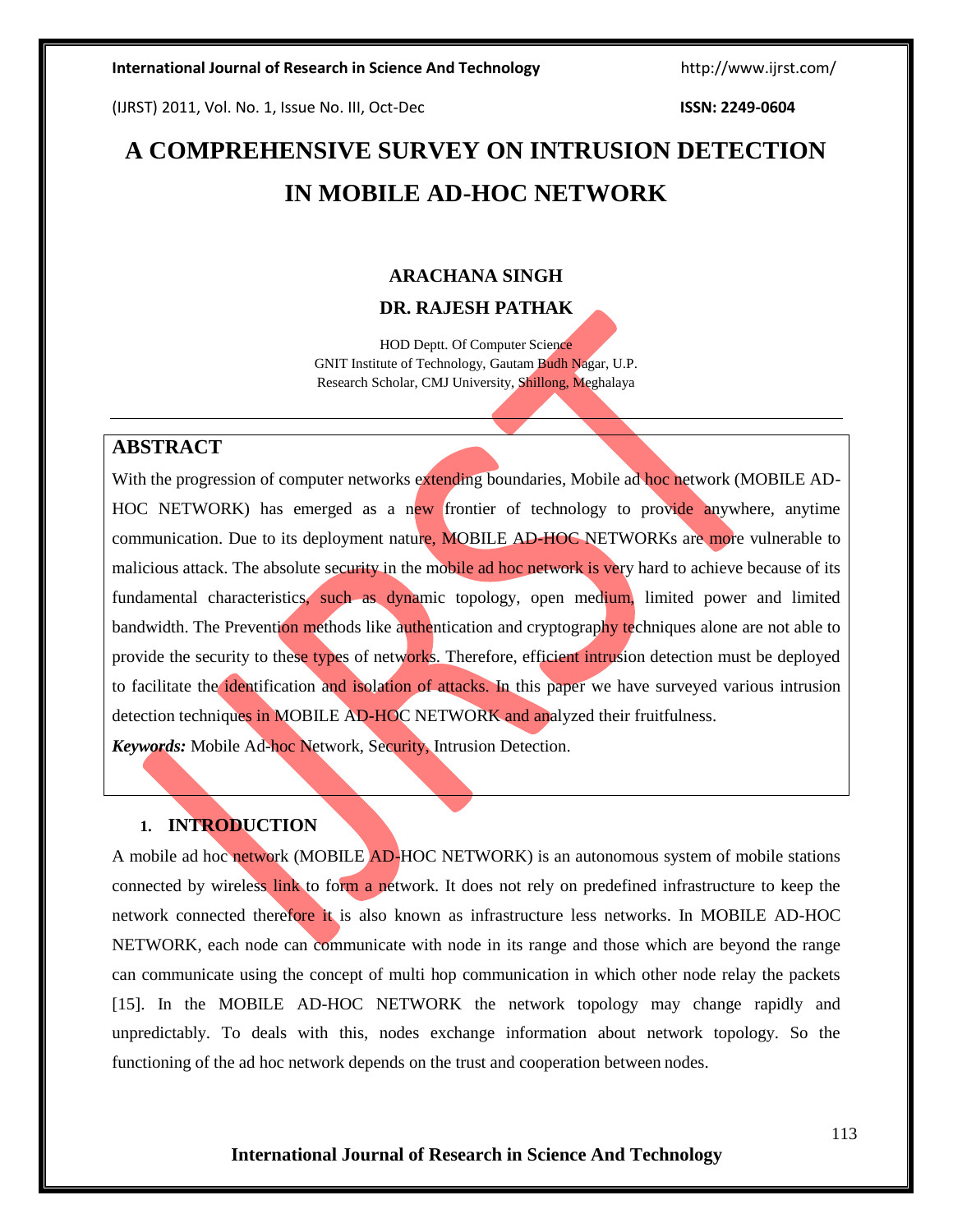(IJRST) 2011, Vol. No. 1, Issue No. III, Oct-Dec **ISSN: 2249-0604**

# **A COMPREHENSIVE SURVEY ON INTRUSION DETECTION IN MOBILE AD-HOC NETWORK**

### **ARACHANA SINGH**

### **DR. RAJESH PATHAK**

HOD Deptt. Of Computer Science GNIT Institute of Technology, Gautam Budh Nagar, U.P. Research Scholar, CMJ University, Shillong, Meghalaya

### **ABSTRACT**

With the progression of computer networks extending boundaries, Mobile ad hoc network (MOBILE AD-HOC NETWORK) has emerged as a new frontier of technology to provide anywhere, anytime communication. Due to its deployment nature, MOBILE AD-HOC NETWORKs are more vulnerable to malicious attack. The absolute security in the mobile ad hoc network is very hard to achieve because of its fundamental characteristics, such as dynamic topology, open medium, limited power and limited bandwidth. The Prevention methods like authentication and cryptography techniques alone are not able to provide the security to these types of networks. Therefore, efficient intrusion detection must be deployed to facilitate the identification and isolation of attacks. In this paper we have surveyed various intrusion detection techniques in MOBILE AD-HOC NETWORK and analyzed their fruitfulness.

*Keywords:* Mobile Ad-hoc Network, Security, Intrusion Detection.

### **1. INTRODUCTION**

A mobile ad hoc network (MOBILE AD-HOC NETWORK) is an autonomous system of mobile stations connected by wireless link to form a network. It does not rely on predefined infrastructure to keep the network connected therefore it is also known as infrastructure less networks. In MOBILE AD-HOC NETWORK, each node can communicate with node in its range and those which are beyond the range can communicate using the concept of multi hop communication in which other node relay the packets [15]. In the MOBILE AD-HOC NETWORK the network topology may change rapidly and unpredictably. To deals with this, nodes exchange information about network topology. So the functioning of the ad hoc network depends on the trust and cooperation between nodes.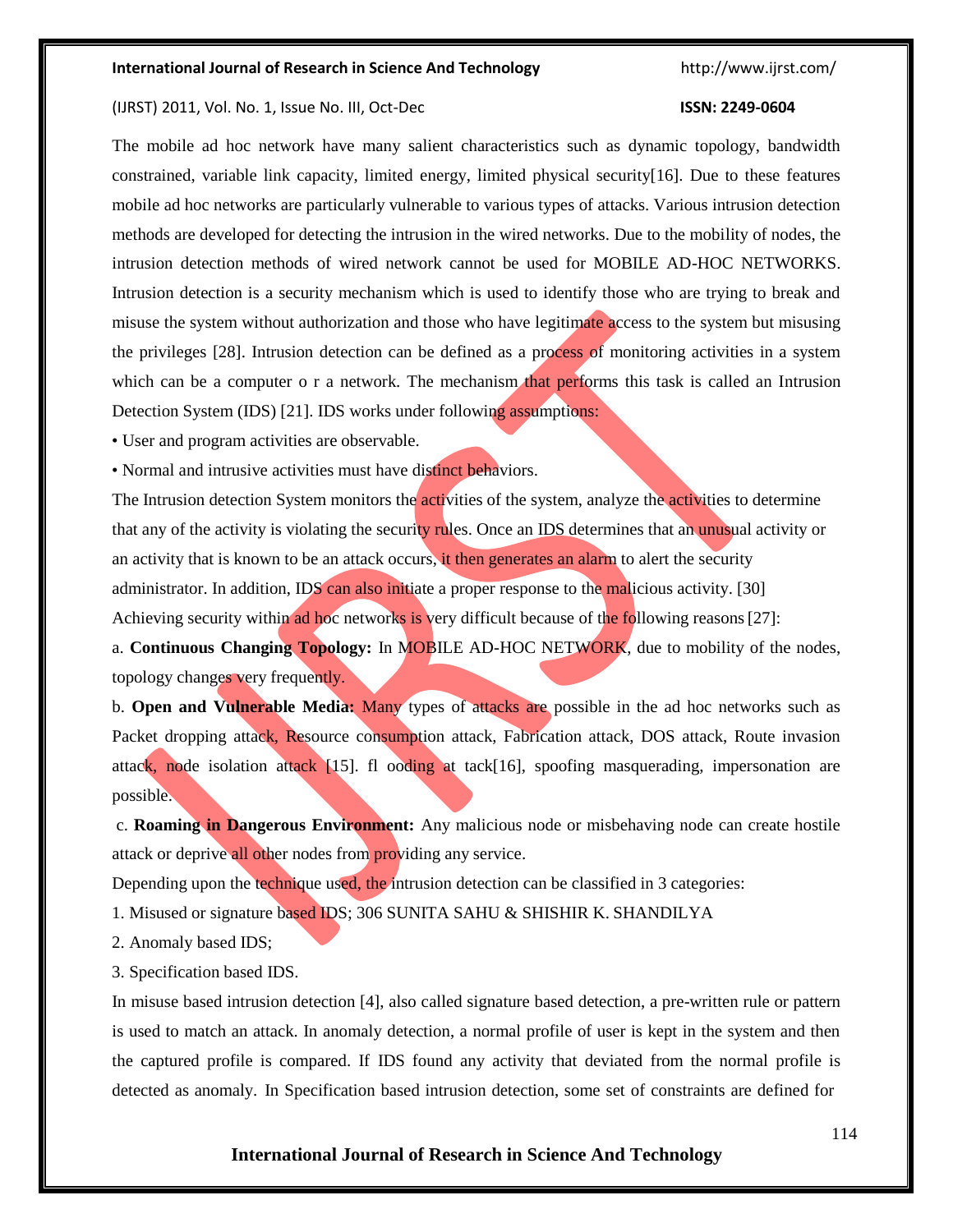#### (IJRST) 2011, Vol. No. 1, Issue No. III, Oct-Dec **ISSN: 2249-0604**

The mobile ad hoc network have many salient characteristics such as dynamic topology, bandwidth constrained, variable link capacity, limited energy, limited physical security[16]. Due to these features mobile ad hoc networks are particularly vulnerable to various types of attacks. Various intrusion detection methods are developed for detecting the intrusion in the wired networks. Due to the mobility of nodes, the intrusion detection methods of wired network cannot be used for MOBILE AD-HOC NETWORKS. Intrusion detection is a security mechanism which is used to identify those who are trying to break and misuse the system without authorization and those who have legitimate access to the system but misusing the privileges [28]. Intrusion detection can be defined as a process of monitoring activities in a system which can be a computer o r a network. The mechanism that performs this task is called an Intrusion Detection System (IDS) [21]. IDS works under following assumptions:

• User and program activities are observable.

• Normal and intrusive activities must have distinct behaviors.

The Intrusion detection System monitors the activities of the system, analyze the activities to determine that any of the activity is violating the security rules. Once an IDS determines that an unusual activity or an activity that is known to be an attack occurs, it then generates an alarm to alert the security administrator. In addition, IDS can also initiate a proper response to the malicious activity. [30] Achieving security within ad hoc networks is very difficult because of the following reasons [27]:

a. **Continuous Changing Topology:** In MOBILE AD-HOC NETWORK, due to mobility of the nodes, topology changes very frequently.

b. **Open and Vulnerable Media:** Many types of attacks are possible in the ad hoc networks such as Packet dropping attack, Resource consumption attack, Fabrication attack, DOS attack, Route invasion attack, node isolation attack [15]. fl ooding at tack[16], spoofing masquerading, impersonation are possible.

c. **Roaming in Dangerous Environment:** Any malicious node or misbehaving node can create hostile attack or deprive all other nodes from providing any service.

Depending upon the technique used, the intrusion detection can be classified in 3 categories:

1. Misused or signature based IDS; 306 SUNITA SAHU & SHISHIR K. SHANDILYA

2. Anomaly based IDS;

3. Specification based IDS.

In misuse based intrusion detection [4], also called signature based detection, a pre-written rule or pattern is used to match an attack. In anomaly detection, a normal profile of user is kept in the system and then the captured profile is compared. If IDS found any activity that deviated from the normal profile is detected as anomaly. In Specification based intrusion detection, some set of constraints are defined for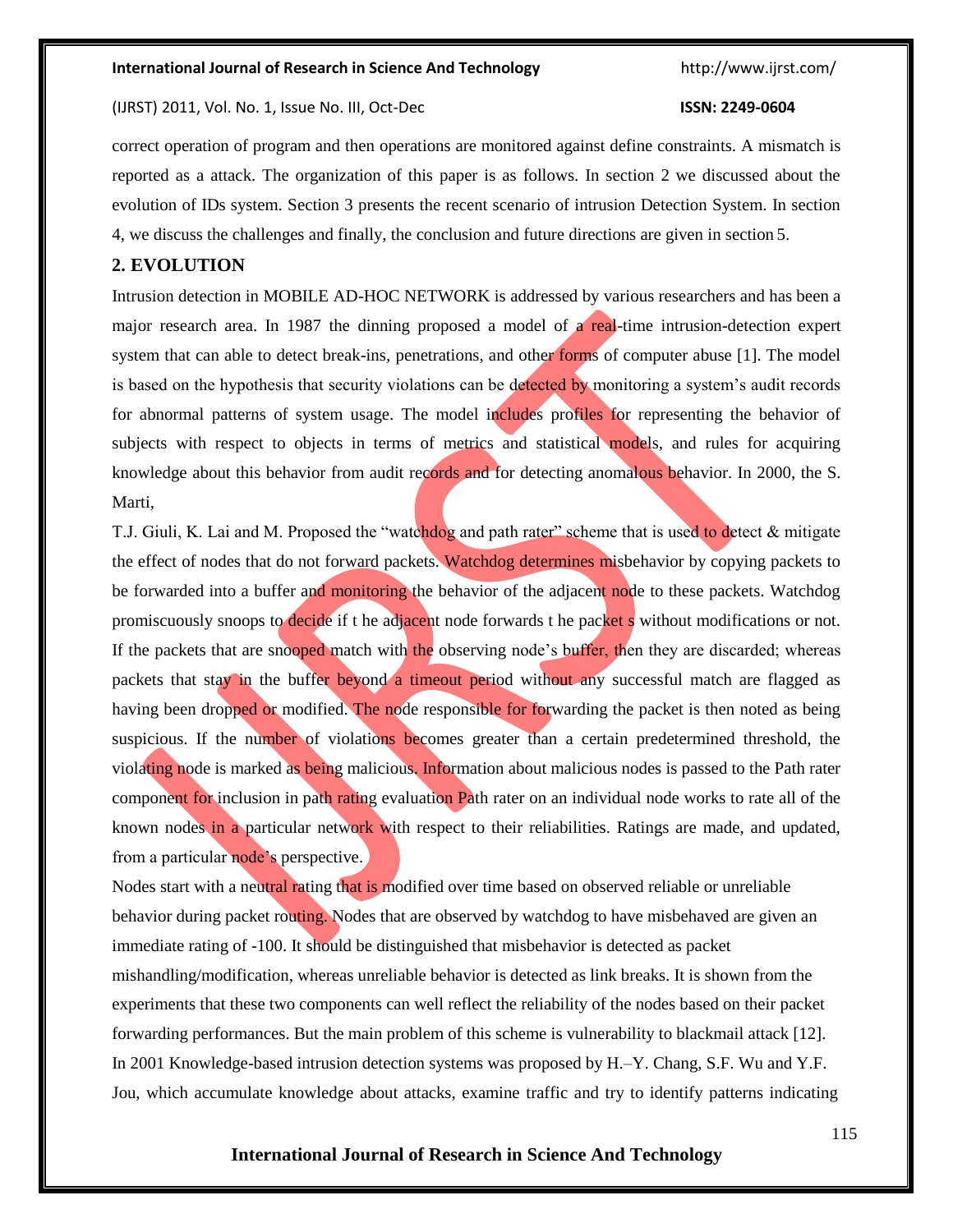#### (IJRST) 2011, Vol. No. 1, Issue No. III, Oct-Dec **ISSN: 2249-0604**

correct operation of program and then operations are monitored against define constraints. A mismatch is reported as a attack. The organization of this paper is as follows. In section 2 we discussed about the evolution of IDs system. Section 3 presents the recent scenario of intrusion Detection System. In section 4, we discuss the challenges and finally, the conclusion and future directions are given in section 5.

### **2. EVOLUTION**

Intrusion detection in MOBILE AD-HOC NETWORK is addressed by various researchers and has been a major research area. In 1987 the dinning proposed a model of a real-time intrusion-detection expert system that can able to detect break-ins, penetrations, and other forms of computer abuse [1]. The model is based on the hypothesis that security violations can be detected by monitoring a system's audit records for abnormal patterns of system usage. The model includes profiles for representing the behavior of subjects with respect to objects in terms of metrics and statistical models, and rules for acquiring knowledge about this behavior from audit records and for detecting anomalous behavior. In 2000, the S. Marti,

T.J. Giuli, K. Lai and M. Proposed the "watchdog and path rater" scheme that is used to detect & mitigate the effect of nodes that do not forward packets. Watchdog determines misbehavior by copying packets to be forwarded into a buffer and monitoring the behavior of the adjacent node to these packets. Watchdog promiscuously snoops to decide if t he adjacent node forwards t he packet s without modifications or not. If the packets that are snooped match with the observing node's buffer, then they are discarded; whereas packets that stay in the buffer beyond a timeout period without any successful match are flagged as having been dropped or modified. The node responsible for forwarding the packet is then noted as being suspicious. If the number of violations becomes greater than a certain predetermined threshold, the violating node is marked as being malicious. Information about malicious nodes is passed to the Path rater component for inclusion in path rating evaluation Path rater on an individual node works to rate all of the known nodes in a particular network with respect to their reliabilities. Ratings are made, and updated, from a particular node's perspective.

Nodes start with a neutral rating that is modified over time based on observed reliable or unreliable behavior during packet routing. Nodes that are observed by watchdog to have misbehaved are given an immediate rating of -100. It should be distinguished that misbehavior is detected as packet mishandling/modification, whereas unreliable behavior is detected as link breaks. It is shown from the experiments that these two components can well reflect the reliability of the nodes based on their packet forwarding performances. But the main problem of this scheme is vulnerability to blackmail attack [12]. In 2001 Knowledge-based intrusion detection systems was proposed by H.–Y. Chang, S.F. Wu and Y.F. Jou, which accumulate knowledge about attacks, examine traffic and try to identify patterns indicating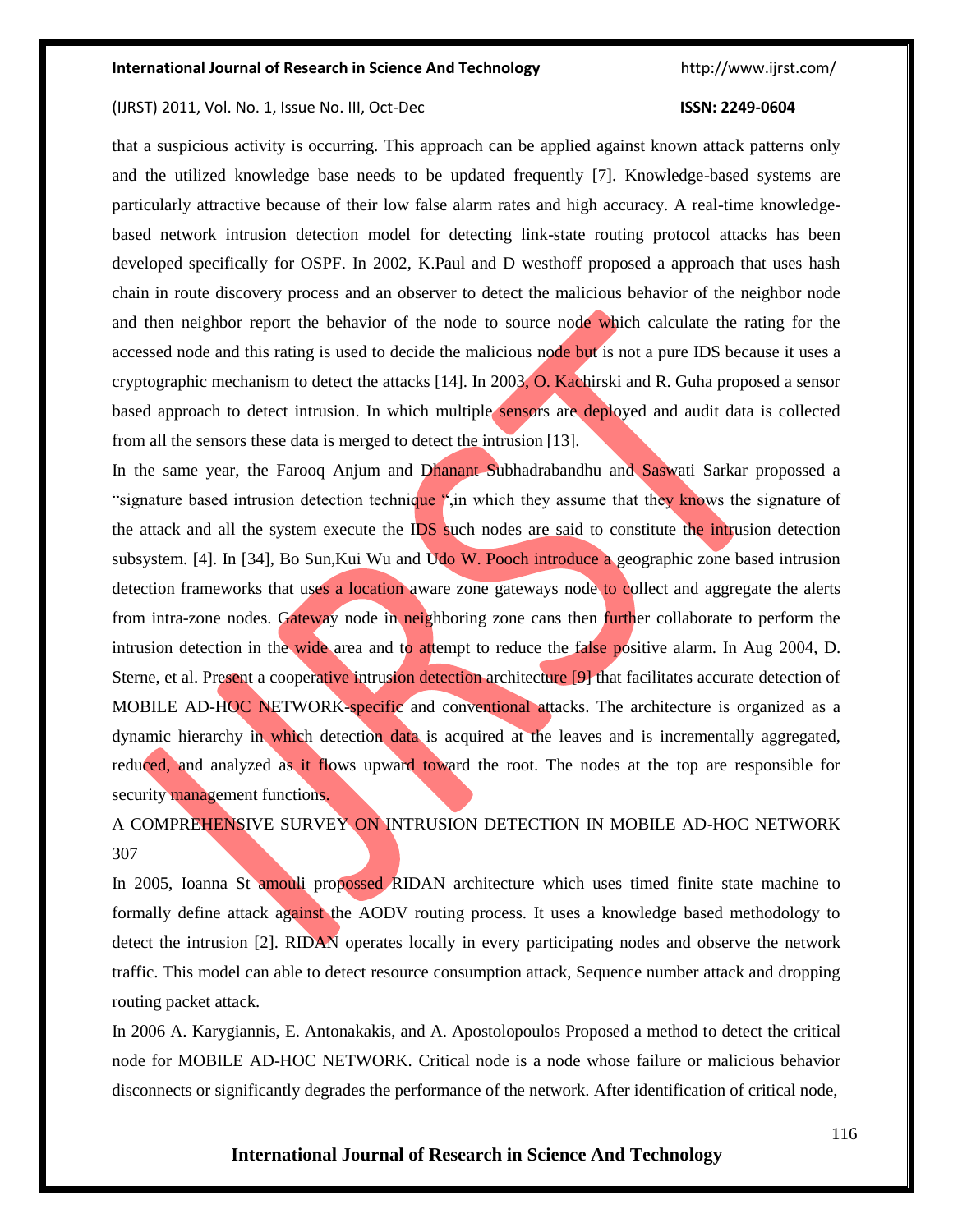#### (IJRST) 2011, Vol. No. 1, Issue No. III, Oct-Dec **ISSN: 2249-0604**

that a suspicious activity is occurring. This approach can be applied against known attack patterns only and the utilized knowledge base needs to be updated frequently [7]. Knowledge-based systems are particularly attractive because of their low false alarm rates and high accuracy. A real-time knowledgebased network intrusion detection model for detecting link-state routing protocol attacks has been developed specifically for OSPF. In 2002, K.Paul and D westhoff proposed a approach that uses hash chain in route discovery process and an observer to detect the malicious behavior of the neighbor node and then neighbor report the behavior of the node to source node which calculate the rating for the accessed node and this rating is used to decide the malicious node but is not a pure IDS because it uses a cryptographic mechanism to detect the attacks [14]. In 2003, O. Kachirski and R. Guha proposed a sensor based approach to detect intrusion. In which multiple sensors are deployed and audit data is collected from all the sensors these data is merged to detect the intrusion [13].

In the same year, the Farooq Anjum and Dhanant Subhadrabandhu and Saswati Sarkar propossed a "signature based intrusion detection technique ", in which they assume that they knows the signature of the attack and all the system execute the IDS such nodes are said to constitute the intrusion detection subsystem. [4]. In [34], Bo Sun,Kui Wu and Udo W. Pooch introduce a geographic zone based intrusion detection frameworks that uses a location aware zone gateways node to collect and aggregate the alerts from intra-zone nodes. Gateway node in neighboring zone cans then further collaborate to perform the intrusion detection in the wide area and to attempt to reduce the false positive alarm. In Aug 2004, D. Sterne, et al. Present a cooperative intrusion detection architecture [9] that facilitates accurate detection of MOBILE AD-HOC NETWORK-specific and conventional attacks. The architecture is organized as a dynamic hierarchy in which detection data is acquired at the leaves and is incrementally aggregated, reduced, and analyzed as it flows upward toward the root. The nodes at the top are responsible for security management functions.

## A COMPREHENSIVE SURVEY ON INTRUSION DETECTION IN MOBILE AD-HOC NETWORK 307

In 2005, Ioanna St amouli propossed RIDAN architecture which uses timed finite state machine to formally define attack against the AODV routing process. It uses a knowledge based methodology to detect the intrusion [2]. RIDAN operates locally in every participating nodes and observe the network traffic. This model can able to detect resource consumption attack, Sequence number attack and dropping routing packet attack.

In 2006 A. Karygiannis, E. Antonakakis, and A. Apostolopoulos Proposed a method to detect the critical node for MOBILE AD-HOC NETWORK. Critical node is a node whose failure or malicious behavior disconnects or significantly degrades the performance of the network. After identification of critical node,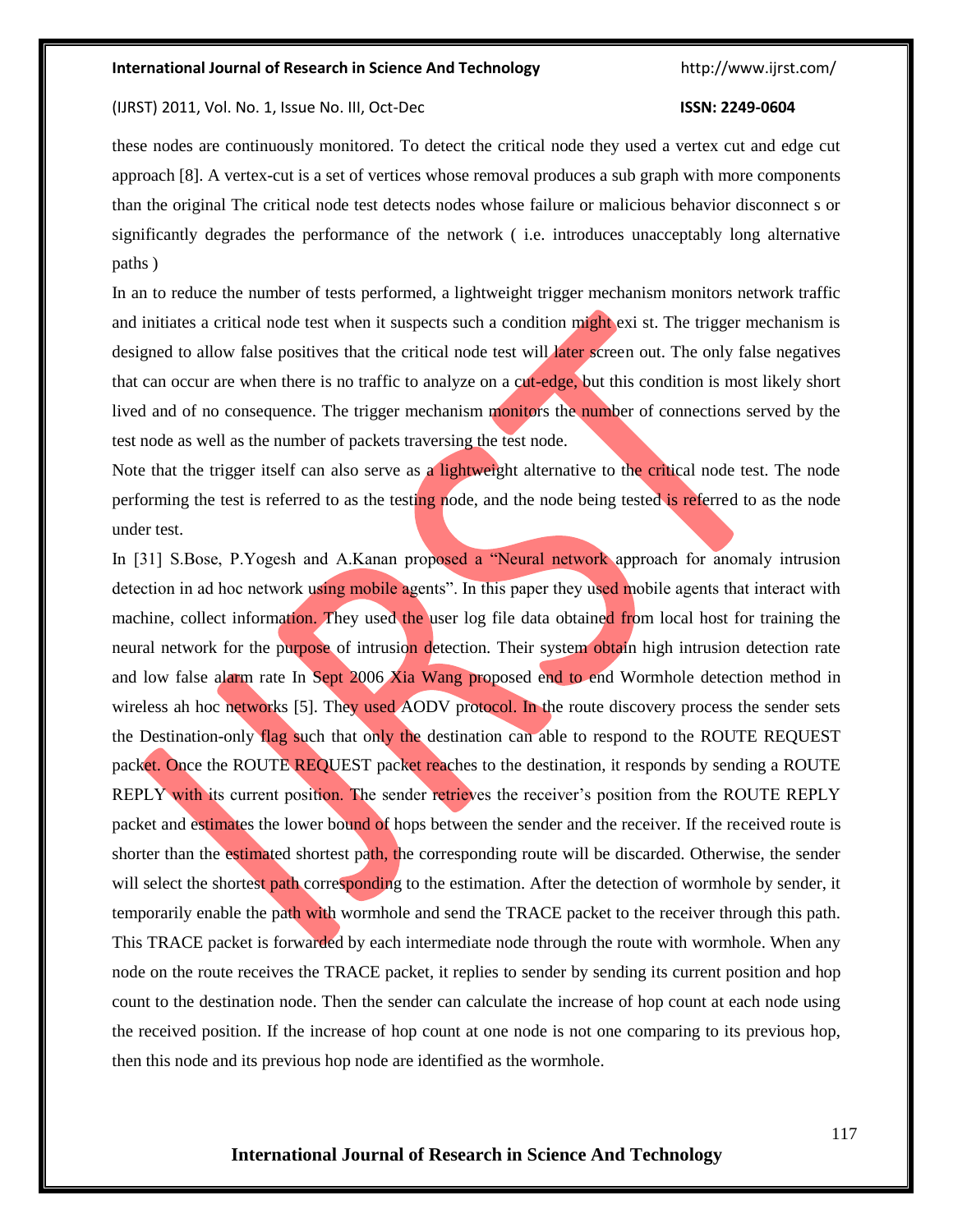#### (IJRST) 2011, Vol. No. 1, Issue No. III, Oct-Dec **ISSN: 2249-0604**

these nodes are continuously monitored. To detect the critical node they used a vertex cut and edge cut approach [8]. A vertex-cut is a set of vertices whose removal produces a sub graph with more components than the original The critical node test detects nodes whose failure or malicious behavior disconnect s or significantly degrades the performance of the network ( i.e. introduces unacceptably long alternative paths )

In an to reduce the number of tests performed, a lightweight trigger mechanism monitors network traffic and initiates a critical node test when it suspects such a condition might exi st. The trigger mechanism is designed to allow false positives that the critical node test will later screen out. The only false negatives that can occur are when there is no traffic to analyze on a cut-edge, but this condition is most likely short lived and of no consequence. The trigger mechanism monitors the number of connections served by the test node as well as the number of packets traversing the test node.

Note that the trigger itself can also serve as a lightweight alternative to the critical node test. The node performing the test is referred to as the testing node, and the node being tested is referred to as the node under test.

In [31] S.Bose, P.Yogesh and A.Kanan proposed a "Neural network approach for anomaly intrusion detection in ad hoc network using mobile agents". In this paper they used mobile agents that interact with machine, collect information. They used the user log file data obtained from local host for training the neural network for the purpose of intrusion detection. Their system obtain high intrusion detection rate and low false alarm rate In Sept 2006 Xia Wang proposed end to end Wormhole detection method in wireless ah hoc networks [5]. They used AODV protocol. In the route discovery process the sender sets the Destination-only flag such that only the destination can able to respond to the ROUTE REQUEST packet. Once the ROUTE REQUEST packet reaches to the destination, it responds by sending a ROUTE REPLY with its current position. The sender retrieves the receiver's position from the ROUTE REPLY packet and estimates the lower bound of hops between the sender and the receiver. If the received route is shorter than the estimated shortest path, the corresponding route will be discarded. Otherwise, the sender will select the shortest path corresponding to the estimation. After the detection of wormhole by sender, it temporarily enable the path with wormhole and send the TRACE packet to the receiver through this path. This TRACE packet is forwarded by each intermediate node through the route with wormhole. When any node on the route receives the TRACE packet, it replies to sender by sending its current position and hop count to the destination node. Then the sender can calculate the increase of hop count at each node using the received position. If the increase of hop count at one node is not one comparing to its previous hop, then this node and its previous hop node are identified as the wormhole.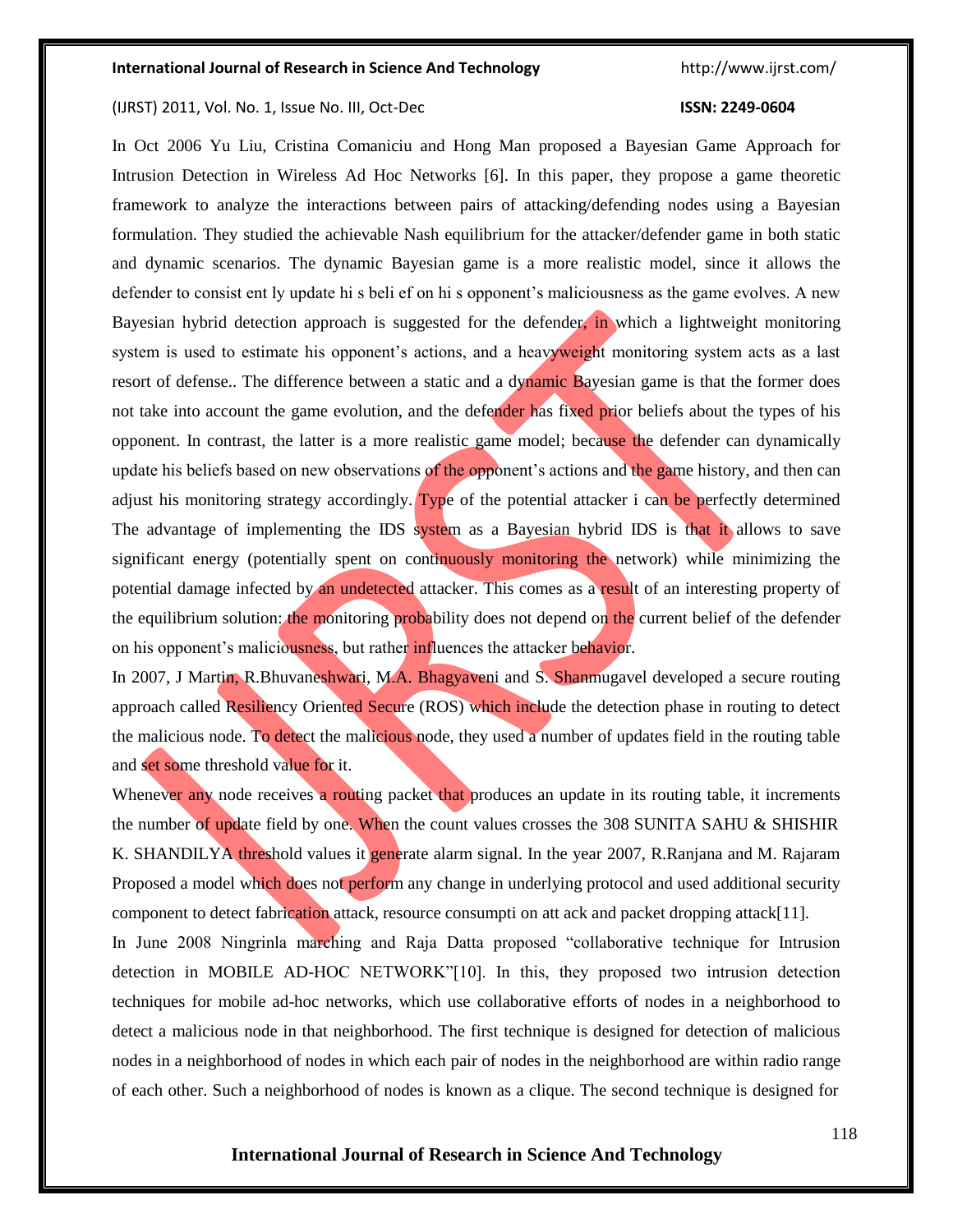(IJRST) 2011, Vol. No. 1, Issue No. III, Oct-Dec **ISSN: 2249-0604**

In Oct 2006 Yu Liu, Cristina Comaniciu and Hong Man proposed a Bayesian Game Approach for Intrusion Detection in Wireless Ad Hoc Networks [6]. In this paper, they propose a game theoretic framework to analyze the interactions between pairs of attacking/defending nodes using a Bayesian formulation. They studied the achievable Nash equilibrium for the attacker/defender game in both static and dynamic scenarios. The dynamic Bayesian game is a more realistic model, since it allows the defender to consist ent ly update hi s beli ef on hi s opponent's maliciousness as the game evolves. A new Bayesian hybrid detection approach is suggested for the defender, in which a lightweight monitoring system is used to estimate his opponent's actions, and a heavyweight monitoring system acts as a last resort of defense.. The difference between a static and a dynamic Bayesian game is that the former does not take into account the game evolution, and the defender has fixed prior beliefs about the types of his opponent. In contrast, the latter is a more realistic game model; because the defender can dynamically update his beliefs based on new observations of the opponent's actions and the game history, and then can adjust his monitoring strategy accordingly. Type of the potential attacker i can be perfectly determined The advantage of implementing the IDS system as a Bayesian hybrid IDS is that it allows to save significant energy (potentially spent on continuously monitoring the network) while minimizing the potential damage infected by an undetected attacker. This comes as a result of an interesting property of the equilibrium solution: the monitoring probability does not depend on the current belief of the defender on his opponent's maliciousness, but rather influences the attacker behavior.

In 2007, J Martin, R.Bhuvaneshwari, M.A. Bhagyaveni and S. Shanmugavel developed a secure routing approach called Resiliency Oriented Secure (ROS) which include the detection phase in routing to detect the malicious node. To detect the malicious node, they used a number of updates field in the routing table and set some threshold value for it.

Whenever any node receives a routing packet that produces an update in its routing table, it increments the number of update field by one. When the count values crosses the 308 SUNITA SAHU & SHISHIR K. SHANDILYA threshold values it generate alarm signal. In the year 2007, R.Ranjana and M. Rajaram Proposed a model which does not perform any change in underlying protocol and used additional security component to detect fabrication attack, resource consumpti on att ack and packet dropping attack[11]. In June 2008 Ningrinla marching and Raja Datta proposed "collaborative technique for Intrusion detection in MOBILE AD-HOC NETWORK"[10]. In this, they proposed two intrusion detection techniques for mobile ad-hoc networks, which use collaborative efforts of nodes in a neighborhood to detect a malicious node in that neighborhood. The first technique is designed for detection of malicious nodes in a neighborhood of nodes in which each pair of nodes in the neighborhood are within radio range of each other. Such a neighborhood of nodes is known as a clique. The second technique is designed for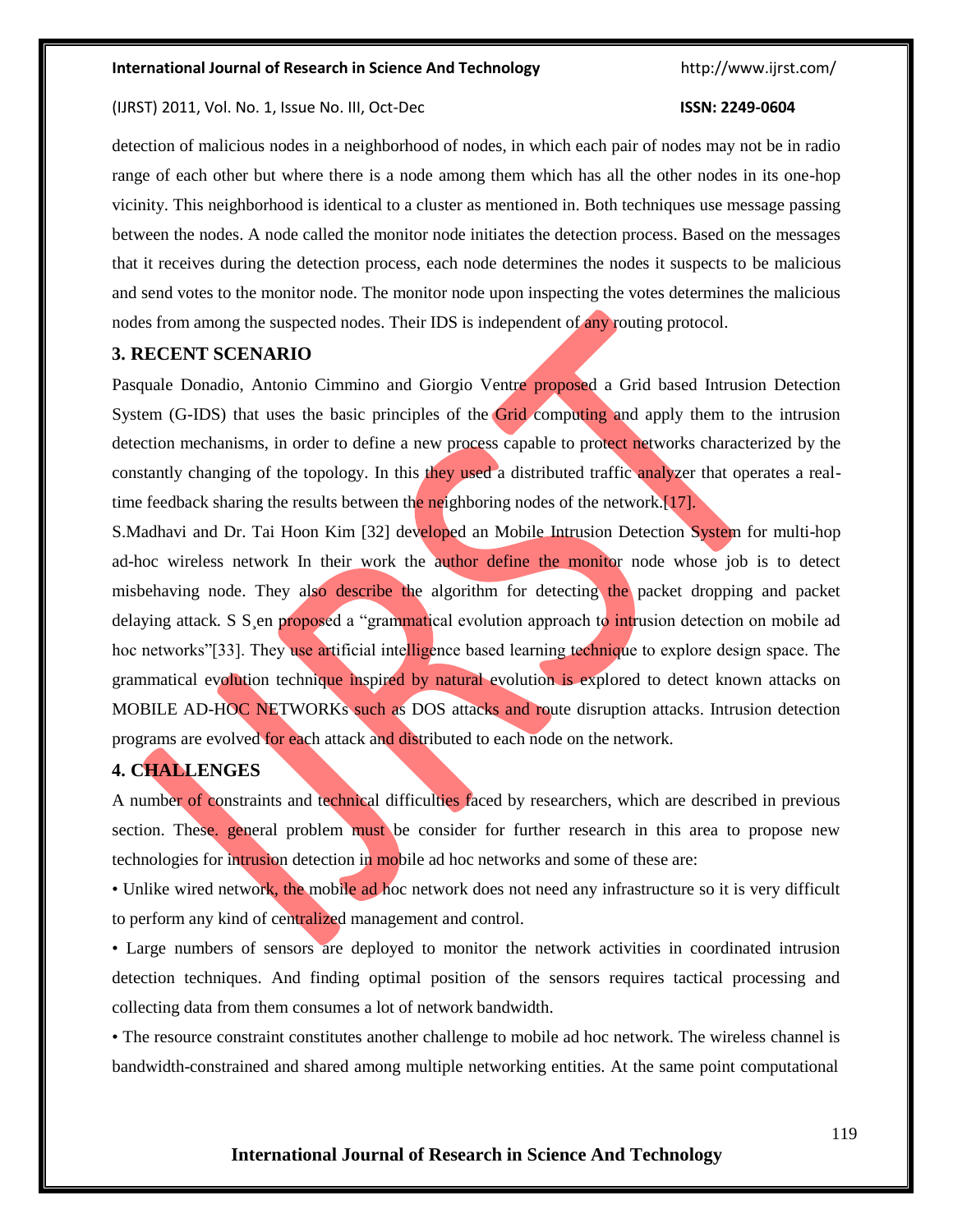#### (IJRST) 2011, Vol. No. 1, Issue No. III, Oct-Dec **ISSN: 2249-0604**

detection of malicious nodes in a neighborhood of nodes, in which each pair of nodes may not be in radio range of each other but where there is a node among them which has all the other nodes in its one-hop vicinity. This neighborhood is identical to a cluster as mentioned in. Both techniques use message passing between the nodes. A node called the monitor node initiates the detection process. Based on the messages that it receives during the detection process, each node determines the nodes it suspects to be malicious and send votes to the monitor node. The monitor node upon inspecting the votes determines the malicious nodes from among the suspected nodes. Their IDS is independent of any routing protocol.

#### **3. RECENT SCENARIO**

Pasquale Donadio, Antonio Cimmino and Giorgio Ventre proposed a Grid based Intrusion Detection System (G-IDS) that uses the basic principles of the Grid computing and apply them to the intrusion detection mechanisms, in order to define a new process capable to protect networks characterized by the constantly changing of the topology. In this they used a distributed traffic analyzer that operates a realtime feedback sharing the results between the neighboring nodes of the network.[17].

S.Madhavi and Dr. Tai Hoon Kim [32] developed an Mobile Intrusion Detection System for multi-hop ad-hoc wireless network In their work the author define the monitor node whose job is to detect misbehaving node. They also describe the algorithm for detecting the packet dropping and packet delaying attack. S S en proposed a "grammatical evolution approach to intrusion detection on mobile ad hoc networks"[33]. They use artificial intelligence based learning technique to explore design space. The grammatical evolution technique inspired by natural evolution is explored to detect known attacks on MOBILE AD-HOC NETWORKs such as DOS attacks and route disruption attacks. Intrusion detection programs are evolved for each attack and distributed to each node on the network.

### **4. CHALLENGES**

A number of constraints and technical difficulties faced by researchers, which are described in previous section. These, general problem must be consider for further research in this area to propose new technologies for intrusion detection in mobile ad hoc networks and some of these are:

• Unlike wired network, the mobile ad hoc network does not need any infrastructure so it is very difficult to perform any kind of centralized management and control.

• Large numbers of sensors are deployed to monitor the network activities in coordinated intrusion detection techniques. And finding optimal position of the sensors requires tactical processing and collecting data from them consumes a lot of network bandwidth.

• The resource constraint constitutes another challenge to mobile ad hoc network. The wireless channel is bandwidth-constrained and shared among multiple networking entities. At the same point computational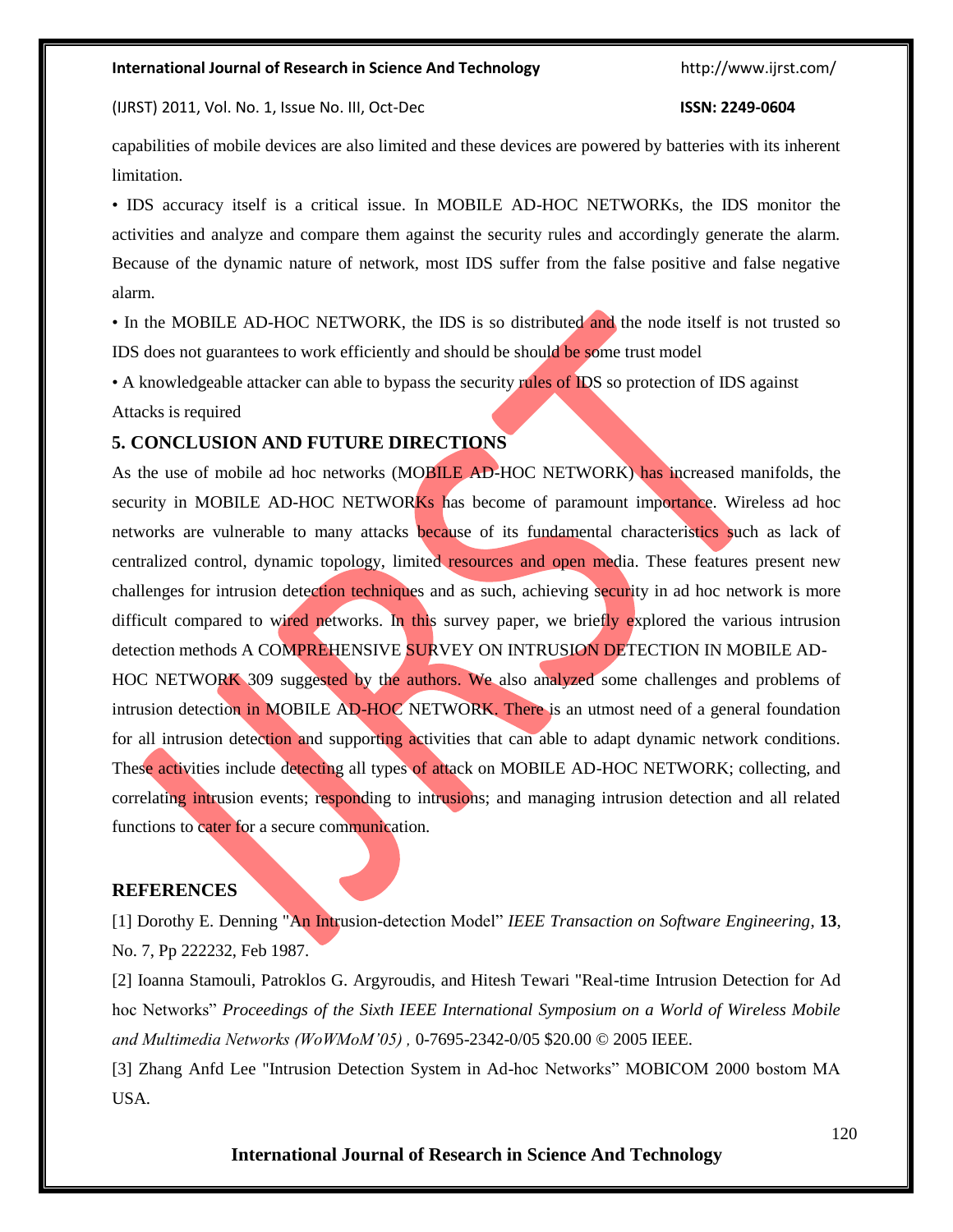(IJRST) 2011, Vol. No. 1, Issue No. III, Oct-Dec **ISSN: 2249-0604**

capabilities of mobile devices are also limited and these devices are powered by batteries with its inherent limitation.

• IDS accuracy itself is a critical issue. In MOBILE AD-HOC NETWORKs, the IDS monitor the activities and analyze and compare them against the security rules and accordingly generate the alarm. Because of the dynamic nature of network, most IDS suffer from the false positive and false negative alarm.

• In the MOBILE AD-HOC NETWORK, the IDS is so distributed and the node itself is not trusted so IDS does not guarantees to work efficiently and should be should be some trust model

• A knowledgeable attacker can able to bypass the security rules of IDS so protection of IDS against

#### Attacks is required

#### **5. CONCLUSION AND FUTURE DIRECTIONS**

As the use of mobile ad hoc networks (MOBILE AD-HOC NETWORK) has increased manifolds, the security in MOBILE AD-HOC NETWORKs has become of paramount importance. Wireless ad hoc networks are vulnerable to many attacks because of its fundamental characteristics such as lack of centralized control, dynamic topology, limited resources and open media. These features present new challenges for intrusion detection techniques and as such, achieving security in ad hoc network is more difficult compared to wired networks. In this survey paper, we briefly explored the various intrusion detection methods A COMPREHENSIVE SURVEY ON INTRUSION DETECTION IN MOBILE AD-HOC NETWORK 309 suggested by the authors. We also analyzed some challenges and problems of intrusion detection in MOBILE AD-HOC NETWORK. There is an utmost need of a general foundation for all intrusion detection and supporting activities that can able to adapt dynamic network conditions. These activities include detecting all types of attack on MOBILE AD-HOC NETWORK; collecting, and correlating intrusion events; responding to intrusions; and managing intrusion detection and all related functions to cater for a secure communication.

#### **REFERENCES**

[1] Dorothy E. Denning "An Intrusion-detection Model" *IEEE Transaction on Software Engineering*, **13**, No. 7, Pp 222232, Feb 1987.

[2] Ioanna Stamouli, Patroklos G. Argyroudis, and Hitesh Tewari "Real-time Intrusion Detection for Ad hoc Networks" *Proceedings of the Sixth IEEE International Symposium on a World of Wireless Mobile and Multimedia Networks (WoWMoM'05) ,* 0-7695-2342-0/05 \$20.00 © 2005 IEEE.

[3] Zhang Anfd Lee "Intrusion Detection System in Ad-hoc Networks" MOBICOM 2000 bostom MA USA.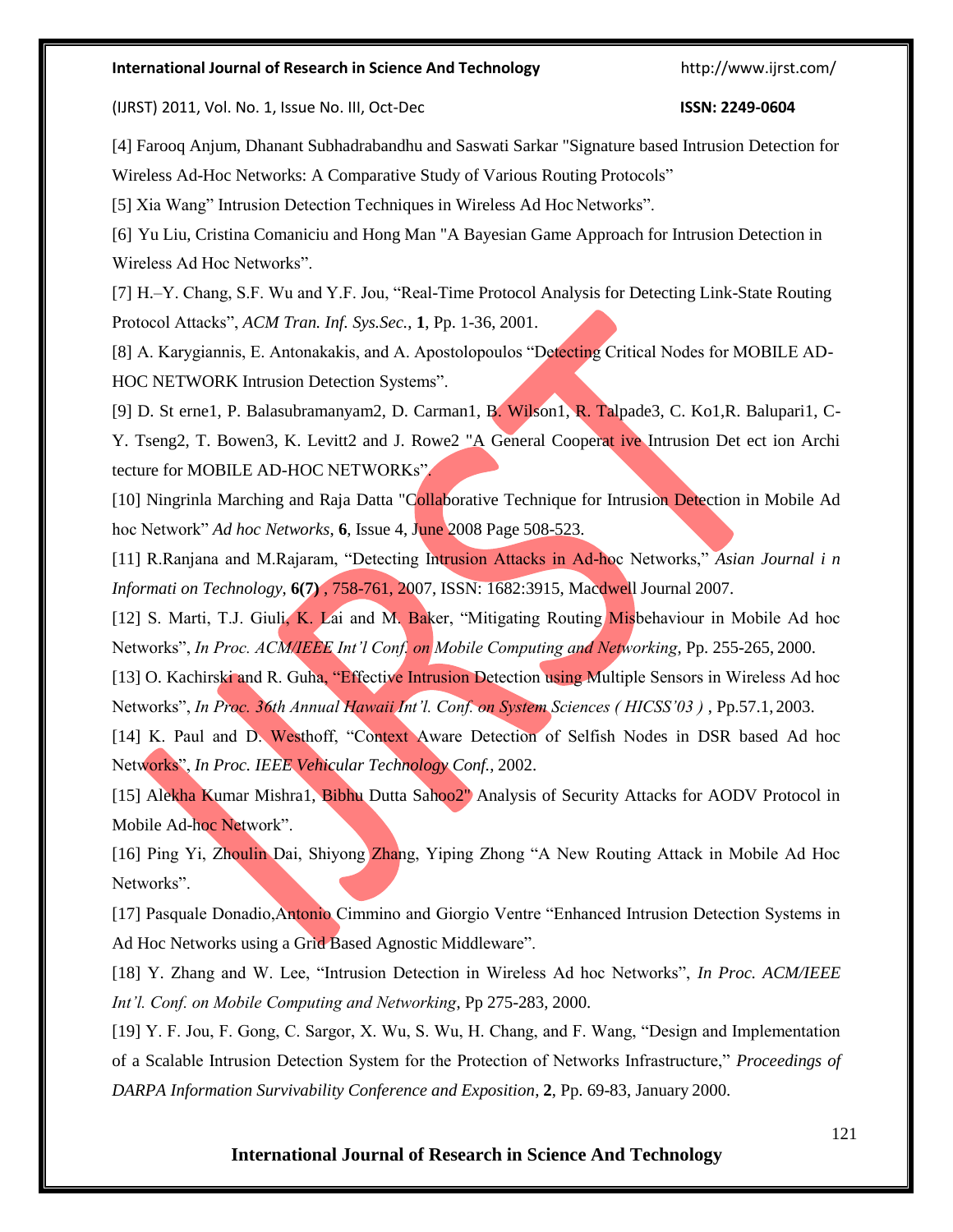(IJRST) 2011, Vol. No. 1, Issue No. III, Oct-Dec **ISSN: 2249-0604**

[4] Farooq Anjum, Dhanant Subhadrabandhu and Saswati Sarkar "Signature based Intrusion Detection for Wireless Ad-Hoc Networks: A Comparative Study of Various Routing Protocols"

[5] Xia Wang" Intrusion Detection Techniques in Wireless Ad Hoc Networks".

[6] Yu Liu, Cristina Comaniciu and Hong Man "A Bayesian Game Approach for Intrusion Detection in Wireless Ad Hoc Networks".

[7] H.–Y. Chang, S.F. Wu and Y.F. Jou, "Real-Time Protocol Analysis for Detecting Link-State Routing Protocol Attacks", *ACM Tran. Inf. Sys.Sec.*, **1**, Pp. 1-36, 2001.

[8] A. Karygiannis, E. Antonakakis, and A. Apostolopoulos "Detecting Critical Nodes for MOBILE AD-HOC NETWORK Intrusion Detection Systems".

[9] D. St erne1, P. Balasubramanyam2, D. Carman1, B. Wilson1, R. Talpade3, C. Ko1,R. Balupari1, C-Y. Tseng2, T. Bowen3, K. Levitt2 and J. Rowe2 "A General Cooperat ive Intrusion Det ect ion Archi tecture for MOBILE AD-HOC NETWORKs".

[10] Ningrinla Marching and Raja Datta "Collaborative Technique for Intrusion Detection in Mobile Ad hoc Network" *Ad hoc Networks*, **6**, Issue 4, June 2008 Page 508-523.

[11] R.Ranjana and M.Rajaram, "Detecting Intrusion Attacks in Ad-hoc Networks," *Asian Journal i n Informati on Technology*, **6(7)** , 758-761, 2007, ISSN: 1682:3915, Macdwell Journal 2007.

[12] S. Marti, T.J. Giuli, K. Lai and M. Baker, "Mitigating Routing Misbehaviour in Mobile Ad hoc Networks", *In Proc. ACM/IEEE Int'l Conf. on Mobile Computing and Networking*, Pp. 255-265, 2000.

[13] O. Kachirski and R. Guha, "Effective Intrusion Detection using Multiple Sensors in Wireless Ad hoc Networks", *In Proc. 36th Annual Hawaii Int'l. Conf. on System Sciences (HICSS'03)*, Pp.57.1, 2003.

[14] K. Paul and D. Westhoff, "Context Aware Detection of Selfish Nodes in DSR based Ad hoc Networks", *In Proc. IEEE Vehicular Technology Conf.*, 2002.

[15] Alekha Kumar Mishra1, Bibhu Dutta Sahoo2" Analysis of Security Attacks for AODV Protocol in Mobile Ad-hoc Network".

[16] Ping Yi, Zhoulin Dai, Shiyong Zhang, Yiping Zhong "A New Routing Attack in Mobile Ad Hoc Networks".

[17] Pasquale Donadio,Antonio Cimmino and Giorgio Ventre "Enhanced Intrusion Detection Systems in Ad Hoc Networks using a Grid Based Agnostic Middleware".

[18] Y. Zhang and W. Lee, "Intrusion Detection in Wireless Ad hoc Networks", *In Proc. ACM/IEEE Int'l. Conf. on Mobile Computing and Networking*, Pp 275-283, 2000.

[19] Y. F. Jou, F. Gong, C. Sargor, X. Wu, S. Wu, H. Chang, and F. Wang, "Design and Implementation of a Scalable Intrusion Detection System for the Protection of Networks Infrastructure," *Proceedings of DARPA Information Survivability Conference and Exposition*, **2**, Pp. 69-83, January 2000.